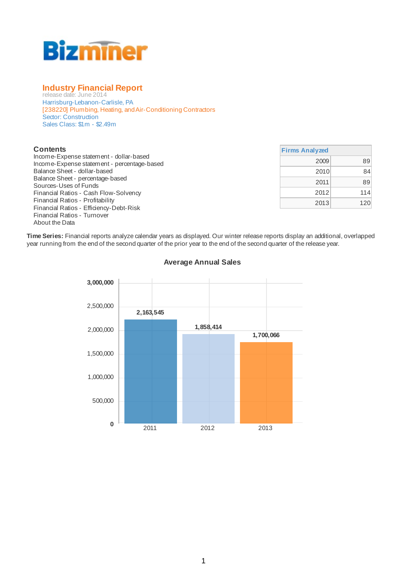

### **Industry Financial Report**

release date: June 2014 Harrisburg-Lebanon-Carlisle, PA [238220] Plumbing, Heating, and Air-Conditioning Contractors Sector: Construction Sales Class: \$1m - \$2.49m

#### **Contents**

Income-Expense statement - dollar-based Income-Expense statement - percentage-based Balance Sheet - dollar-based Balance Sheet - percentage-based Sources-Uses of Funds Financial Ratios - Cash Flow-Solvency Financial Ratios - Profitability Financial Ratios - Efficiency-Debt-Risk Financial Ratios - Turnover About the Data

| <b>Firms Analyzed</b> |     |
|-----------------------|-----|
| 2009                  | 89  |
| 2010                  |     |
| 2011                  | 89  |
| 2012                  | 114 |
| 2013                  | 120 |

**Time Series:** Financial reports analyze calendar years as displayed. Our winter release reports display an additional, overlapped year running from the end of the second quarter of the prior year to the end of the second quarter of the release year.



#### **Average Annual Sales**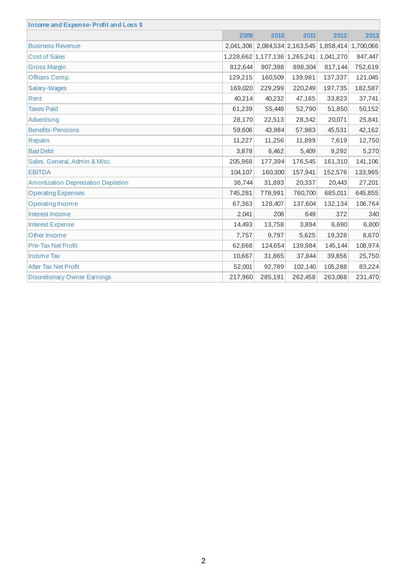| Income and Expense-Profit and Loss \$ |         |         |         |                                                   |         |
|---------------------------------------|---------|---------|---------|---------------------------------------------------|---------|
|                                       | 2009    | 2010    | 2011    | 2012                                              | 2013    |
| <b>Business Revenue</b>               |         |         |         | 2,041,306 2,084,534 2,163,545 1,858,414 1,700,066 |         |
| <b>Cost of Sales</b>                  |         |         |         | 1,228,662 1,177,136 1,265,241 1,041,270           | 947,447 |
| <b>Gross Margin</b>                   | 812,644 | 907,398 | 898,304 | 817,144                                           | 752,619 |
| Officers Comp.                        | 129,215 | 160,509 | 139,981 | 137,337                                           | 121,045 |
| Salary-Wages                          | 169,020 | 229,299 | 220,249 | 197,735                                           | 182,587 |
| Rent                                  | 40,214  | 40,232  | 47,165  | 33,823                                            | 37,741  |
| <b>Taxes Paid</b>                     | 61,239  | 55,449  | 52,790  | 51,850                                            | 50,152  |
| Advertising                           | 28,170  | 22,513  | 28,342  | 20,071                                            | 25,841  |
| <b>Benefits-Pensions</b>              | 59,606  | 43,984  | 57,983  | 45,531                                            | 42,162  |
| <b>Repairs</b>                        | 11,227  | 11,256  | 11,899  | 7,619                                             | 12,750  |
| <b>Bad Debt</b>                       | 3,878   | 6,462   | 5,409   | 9,292                                             | 5,270   |
| Sales, General, Admin & Misc.         | 205,968 | 177,394 | 176,545 | 161,310                                           | 141,106 |
| <b>EBITDA</b>                         | 104,107 | 160,300 | 157,941 | 152,576                                           | 133,965 |
| Amortization Depreciation Depletion   | 36,744  | 31,893  | 20,337  | 20,443                                            | 27,201  |
| <b>Operating Expenses</b>             | 745,281 | 778,991 | 760,700 | 685,011                                           | 645,855 |
| <b>Operating Income</b>               | 67,363  | 128,407 | 137,604 | 132,134                                           | 106,764 |
| Interest Income                       | 2,041   | 208     | 649     | 372                                               | 340     |
| <b>Interest Expense</b>               | 14,493  | 13,758  | 3,894   | 6,690                                             | 6,800   |
| Other Income                          | 7,757   | 9,797   | 5,625   | 19,328                                            | 8,670   |
| <b>Pre-Tax Net Profit</b>             | 62,668  | 124,654 | 139,984 | 145,144                                           | 108,974 |
| <b>Income Tax</b>                     | 10,667  | 31,865  | 37,844  | 39,856                                            | 25,750  |
| <b>After Tax Net Profit</b>           | 52,001  | 92,789  | 102,140 | 105,288                                           | 83,224  |
| <b>Discretionary Owner Earnings</b>   | 217,960 | 285,191 | 262,458 | 263,068                                           | 231,470 |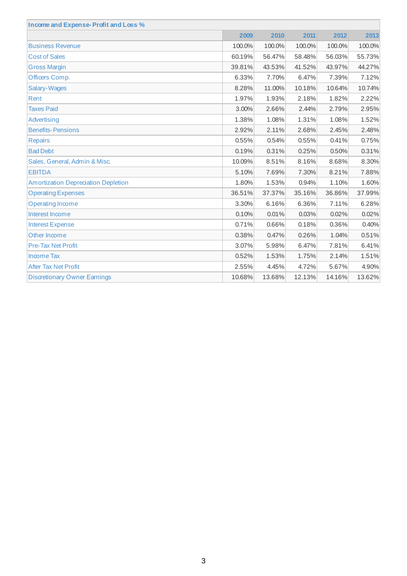| Income and Expense-Profit and Loss %       |        |        |        |        |        |
|--------------------------------------------|--------|--------|--------|--------|--------|
|                                            | 2009   | 2010   | 2011   | 2012   | 2013   |
| <b>Business Revenue</b>                    | 100.0% | 100.0% | 100.0% | 100.0% | 100.0% |
| <b>Cost of Sales</b>                       | 60.19% | 56.47% | 58.48% | 56.03% | 55.73% |
| <b>Gross Margin</b>                        | 39.81% | 43.53% | 41.52% | 43.97% | 44.27% |
| Officers Comp.                             | 6.33%  | 7.70%  | 6.47%  | 7.39%  | 7.12%  |
| <b>Salary-Wages</b>                        | 8.28%  | 11.00% | 10.18% | 10.64% | 10.74% |
| Rent                                       | 1.97%  | 1.93%  | 2.18%  | 1.82%  | 2.22%  |
| <b>Taxes Paid</b>                          | 3.00%  | 2.66%  | 2.44%  | 2.79%  | 2.95%  |
| Advertising                                | 1.38%  | 1.08%  | 1.31%  | 1.08%  | 1.52%  |
| <b>Benefits-Pensions</b>                   | 2.92%  | 2.11%  | 2.68%  | 2.45%  | 2.48%  |
| <b>Repairs</b>                             | 0.55%  | 0.54%  | 0.55%  | 0.41%  | 0.75%  |
| <b>Bad Debt</b>                            | 0.19%  | 0.31%  | 0.25%  | 0.50%  | 0.31%  |
| Sales, General, Admin & Misc.              | 10.09% | 8.51%  | 8.16%  | 8.68%  | 8.30%  |
| <b>EBITDA</b>                              | 5.10%  | 7.69%  | 7.30%  | 8.21%  | 7.88%  |
| <b>Amortization Depreciation Depletion</b> | 1.80%  | 1.53%  | 0.94%  | 1.10%  | 1.60%  |
| <b>Operating Expenses</b>                  | 36.51% | 37.37% | 35.16% | 36.86% | 37.99% |
| <b>Operating Income</b>                    | 3.30%  | 6.16%  | 6.36%  | 7.11%  | 6.28%  |
| Interest Income                            | 0.10%  | 0.01%  | 0.03%  | 0.02%  | 0.02%  |
| <b>Interest Expense</b>                    | 0.71%  | 0.66%  | 0.18%  | 0.36%  | 0.40%  |
| Other Income                               | 0.38%  | 0.47%  | 0.26%  | 1.04%  | 0.51%  |
| <b>Pre-Tax Net Profit</b>                  | 3.07%  | 5.98%  | 6.47%  | 7.81%  | 6.41%  |
| <b>Income Tax</b>                          | 0.52%  | 1.53%  | 1.75%  | 2.14%  | 1.51%  |
| <b>After Tax Net Profit</b>                | 2.55%  | 4.45%  | 4.72%  | 5.67%  | 4.90%  |
| <b>Discretionary Owner Earnings</b>        | 10.68% | 13.68% | 12.13% | 14.16% | 13.62% |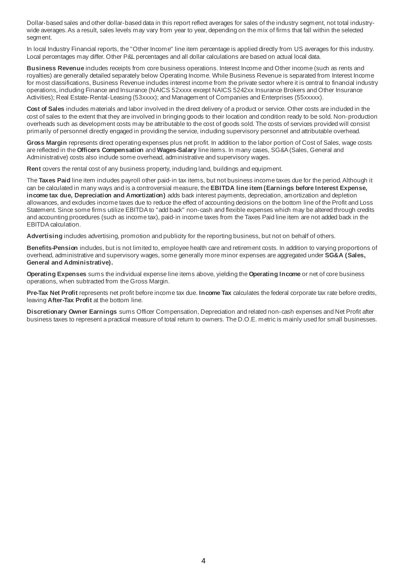Dollar-based sales and other dollar-based data in this report reflect averages for sales of the industry segment, not total industrywide averages.As a result, sales levels may vary from year to year, depending on the mix of firms that fall within the selected segment.

In local Industry Financial reports, the "Other Income" line item percentage is applied directly from US averages for this industry. Local percentages may differ. Other P&L percentages and all dollar calculations are based on actual local data.

**Business Revenue** includes receipts from core business operations. Interest Income and Other income (such as rents and royalties) are generally detailed separately below Operating Income. While Business Revenue is separated from Interest Income for most classifications. Business Revenue includes interest income from the private sector where it is central to financial industry operations, including Finance and Insurance (NAICS 52xxxx except NAICS 5242xx Insurance Brokers and Other Insurance Activities); Real Estate-Rental-Leasing (53xxxx); and Management of Companies and Enterprises (55xxxxx).

**Cost of Sales** includes materials and labor involved in the direct delivery of a product or service. Other costs are included in the cost of sales to the extent that they are involved in bringing goods to their location and condition ready to be sold. Non-production overheads such as development costs may be attributable to the cost of goods sold. The costs of services provided will consist primarily of personnel directly engaged in providing the service, including supervisory personnel and attributable overhead.

**Gross Margin** represents direct operating expenses plus net profit. In addition to the labor portion of Cost of Sales, wage costs are reflected in the **Officers Compensation** and **Wages-Salary** line items. In many cases, SG&A (Sales, General and Administrative) costs also include some overhead, administrative and supervisory wages.

**Rent** covers the rental cost of any business property, including land, buildings and equipment.

The **Taxes Paid** line item includes payroll other paid-in tax items, but not business income taxes due for the period.Although it can be calculated in many ways and is a controversial measure, the **EBITDA line item (Earnings before Interest Expense, income tax due, Depreciation and Amortization)** adds back interest payments, depreciation, amortization and depletion allowances, and excludes income taxes due to reduce the effect of accounting decisions on the bottom line of the Profit and Loss Statement. Since some firms utilize EBITDA to "add back" non-cash and flexible expenses which may be altered through credits and accounting procedures (such as income tax), paid-in income taxes from the Taxes Paid line item are not added back in the EBITDA calculation.

**Advertising** includes advertising, promotion and publicity for the reporting business, but not on behalf of others.

**Benefits-Pension** includes, but is not limited to, employee health care and retirement costs. In addition to varying proportions of overhead, administrative and supervisory wages, some generally more minor expenses are aggregated under **SG&A (Sales, General and Administrative).**

**Operating Expenses** sums the individual expense line items above, yielding the **Operating Income** or net of core business operations, when subtracted from the Gross Margin.

**Pre-Tax Net Profit** represents net profit before income tax due. **Income Tax** calculates the federal corporate tax rate before credits, leaving **After-Tax Profit** at the bottom line.

**Discretionary Owner Earnings** sums Officer Compensation, Depreciation and related non-cash expenses and Net Profit after business taxes to represent a practical measure of total return to owners. The D.O.E. metricis mainly used for small businesses.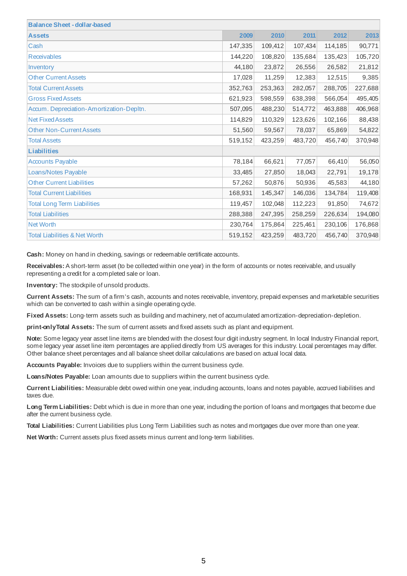| <b>Balance Sheet - dollar-based</b>      |         |         |         |         |         |
|------------------------------------------|---------|---------|---------|---------|---------|
| <b>Assets</b>                            | 2009    | 2010    | 2011    | 2012    | 2013    |
| Cash                                     | 147,335 | 109,412 | 107,434 | 114,185 | 90,771  |
| Receivables                              | 144,220 | 108,820 | 135,684 | 135,423 | 105,720 |
| Inventory                                | 44,180  | 23,872  | 26,556  | 26,582  | 21,812  |
| <b>Other Current Assets</b>              | 17,028  | 11,259  | 12,383  | 12,515  | 9,385   |
| <b>Total Current Assets</b>              | 352,763 | 253,363 | 282,057 | 288,705 | 227,688 |
| <b>Gross Fixed Assets</b>                | 621,923 | 598,559 | 638,398 | 566,054 | 495,405 |
| Accum. Depreciation-Amortization-Depltn. | 507,095 | 488,230 | 514,772 | 463,888 | 406,968 |
| <b>Net Fixed Assets</b>                  | 114,829 | 110,329 | 123,626 | 102,166 | 88,438  |
| <b>Other Non-Current Assets</b>          | 51,560  | 59,567  | 78,037  | 65,869  | 54,822  |
| <b>Total Assets</b>                      | 519,152 | 423,259 | 483,720 | 456,740 | 370,948 |
| <b>Liabilities</b>                       |         |         |         |         |         |
| <b>Accounts Payable</b>                  | 78,184  | 66,621  | 77,057  | 66,410  | 56,050  |
| Loans/Notes Payable                      | 33,485  | 27,850  | 18,043  | 22,791  | 19,178  |
| <b>Other Current Liabilities</b>         | 57,262  | 50,876  | 50,936  | 45,583  | 44,180  |
| <b>Total Current Liabilities</b>         | 168,931 | 145,347 | 146,036 | 134,784 | 119,408 |
| <b>Total Long Term Liabilities</b>       | 119,457 | 102,048 | 112,223 | 91,850  | 74,672  |
| <b>Total Liabilities</b>                 | 288,388 | 247,395 | 258,259 | 226,634 | 194,080 |
| <b>Net Worth</b>                         | 230,764 | 175,864 | 225,461 | 230,106 | 176,868 |
| <b>Total Liabilities &amp; Net Worth</b> | 519,152 | 423,259 | 483,720 | 456,740 | 370,948 |

**Cash:** Money on hand in checking, savings or redeemable certificate accounts.

**Receivables:** A short-term asset (to be collected within one year) in the form of accounts or notes receivable, and usually representing a credit for a completed sale or loan.

**Inventory:** The stockpile of unsold products.

**Current Assets:** The sum of a firm's cash, accounts and notes receivable, inventory, prepaid expenses and marketable securities which can be converted to cash within a single operating cycle.

**Fixed Assets:** Long-term assets such as building and machinery, net of accumulated amortization-depreciation-depletion.

**print-onlyTotal Assets:** The sum of current assets and fixed assets such as plant and equipment.

**Note:** Some legacy year asset line items are blended with the closest four digit industry segment. In local Industry Financial report, some legacy year asset line item percentages are applied directly from US averages for this industry. Local percentages may differ. Other balance sheet percentages and all balance sheet dollar calculations are based on actual local data.

**Accounts Payable:** Invoices due to suppliers within the current business cycle.

**Loans/Notes Payable:** Loan amounts due to suppliers within the current business cycle.

**Current Liabilities:** Measurable debt owed within one year, including accounts, loans and notes payable, accrued liabilities and taxes due.

**Long Term Liabilities:** Debt which is due in more than one year, including the portion of loans and mortgages that become due after the current business cycle.

**Total Liabilities:** Current Liabilities plus Long Term Liabilities such as notes and mortgages due over more than one year.

**Net Worth:** Current assets plus fixed assets minus current and long-term liabilities.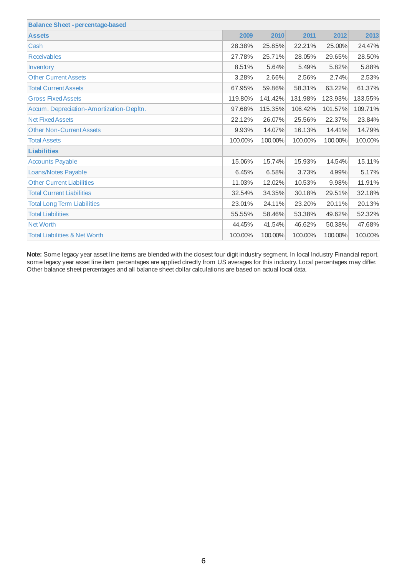| <b>Balance Sheet - percentage-based</b>  |         |         |         |         |         |
|------------------------------------------|---------|---------|---------|---------|---------|
| <b>Assets</b>                            | 2009    | 2010    | 2011    | 2012    | 2013    |
| Cash                                     | 28.38%  | 25.85%  | 22.21%  | 25.00%  | 24.47%  |
| <b>Receivables</b>                       | 27.78%  | 25.71%  | 28.05%  | 29.65%  | 28.50%  |
| Inventory                                | 8.51%   | 5.64%   | 5.49%   | 5.82%   | 5.88%   |
| <b>Other Current Assets</b>              | 3.28%   | 2.66%   | 2.56%   | 2.74%   | 2.53%   |
| <b>Total Current Assets</b>              | 67.95%  | 59.86%  | 58.31%  | 63.22%  | 61.37%  |
| <b>Gross Fixed Assets</b>                | 119.80% | 141.42% | 131.98% | 123.93% | 133.55% |
| Accum. Depreciation-Amortization-Depltn. | 97.68%  | 115.35% | 106.42% | 101.57% | 109.71% |
| <b>Net Fixed Assets</b>                  | 22.12%  | 26.07%  | 25.56%  | 22.37%  | 23.84%  |
| <b>Other Non-Current Assets</b>          | 9.93%   | 14.07%  | 16.13%  | 14.41%  | 14.79%  |
| <b>Total Assets</b>                      | 100.00% | 100.00% | 100.00% | 100.00% | 100.00% |
| <b>Liabilities</b>                       |         |         |         |         |         |
| <b>Accounts Payable</b>                  | 15.06%  | 15.74%  | 15.93%  | 14.54%  | 15.11%  |
| Loans/Notes Payable                      | 6.45%   | 6.58%   | 3.73%   | 4.99%   | 5.17%   |
| <b>Other Current Liabilities</b>         | 11.03%  | 12.02%  | 10.53%  | 9.98%   | 11.91%  |
| <b>Total Current Liabilities</b>         | 32.54%  | 34.35%  | 30.18%  | 29.51%  | 32.18%  |
| <b>Total Long Term Liabilities</b>       | 23.01%  | 24.11%  | 23.20%  | 20.11%  | 20.13%  |
| <b>Total Liabilities</b>                 | 55.55%  | 58.46%  | 53.38%  | 49.62%  | 52.32%  |
| <b>Net Worth</b>                         | 44.45%  | 41.54%  | 46.62%  | 50.38%  | 47.68%  |
| <b>Total Liabilities &amp; Net Worth</b> | 100.00% | 100.00% | 100.00% | 100.00% | 100.00% |

**Note:** Some legacy year asset line items are blended with the closest four digit industry segment. In local Industry Financial report, some legacy year asset line item percentages are applied directly from US averages for this industry. Local percentages may differ. Other balance sheet percentages and all balance sheet dollar calculations are based on actual local data.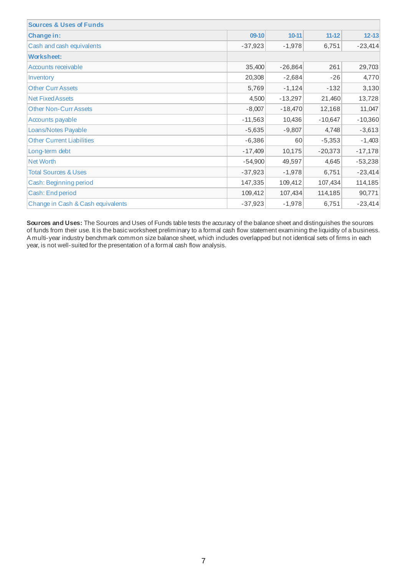| <b>Sources &amp; Uses of Funds</b> |           |           |           |           |
|------------------------------------|-----------|-----------|-----------|-----------|
| Change in:                         | 09-10     | $10 - 11$ | $11 - 12$ | $12 - 13$ |
| Cash and cash equivalents          | $-37,923$ | $-1,978$  | 6,751     | $-23,414$ |
| <b>Worksheet:</b>                  |           |           |           |           |
| Accounts receivable                | 35,400    | $-26,864$ | 261       | 29,703    |
| Inventory                          | 20,308    | $-2,684$  | $-26$     | 4,770     |
| <b>Other Curr Assets</b>           | 5,769     | $-1,124$  | $-132$    | 3,130     |
| <b>Net Fixed Assets</b>            | 4,500     | $-13,297$ | 21,460    | 13,728    |
| <b>Other Non-Curr Assets</b>       | $-8,007$  | $-18,470$ | 12,168    | 11,047    |
| Accounts payable                   | $-11,563$ | 10,436    | $-10,647$ | $-10,360$ |
| Loans/Notes Payable                | $-5,635$  | $-9,807$  | 4,748     | $-3,613$  |
| <b>Other Current Liabilities</b>   | $-6,386$  | 60        | $-5,353$  | $-1,403$  |
| Long-term debt                     | $-17,409$ | 10,175    | $-20,373$ | $-17,178$ |
| Net Worth                          | $-54,900$ | 49,597    | 4,645     | $-53,238$ |
| <b>Total Sources &amp; Uses</b>    | $-37,923$ | $-1,978$  | 6,751     | $-23,414$ |
| Cash: Beginning period             | 147,335   | 109,412   | 107,434   | 114,185   |
| Cash: End period                   | 109,412   | 107,434   | 114,185   | 90,771    |
| Change in Cash & Cash equivalents  | $-37,923$ | $-1,978$  | 6,751     | $-23,414$ |

**Sources and Uses:** The Sources and Uses of Funds table tests the accuracy of the balance sheet and distinguishes the sources of funds from their use. It is the basic worksheet preliminary to a formal cash flow statement examining the liquidity of a business. A multi-year industry benchmark common size balance sheet, which includes overlapped but not identical sets of firms in each year, is not well-suited for the presentation of a formal cash flow analysis.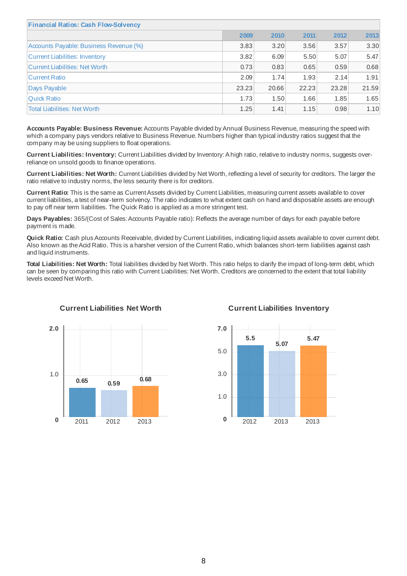| <b>Financial Ratios: Cash Flow-Solvency</b> |       |       |       |       |       |
|---------------------------------------------|-------|-------|-------|-------|-------|
|                                             | 2009  | 2010  | 2011  | 2012  | 2013  |
| Accounts Payable: Business Revenue (%)      | 3.83  | 3.20  | 3.56  | 3.57  | 3.30  |
| Current Liabilities: Inventory              | 3.82  | 6.09  | 5.50  | 5.07  | 5.47  |
| Current Liabilities: Net Worth              | 0.73  | 0.83  | 0.65  | 0.59  | 0.68  |
| Current Ratio                               | 2.09  | 1.74  | 1.93  | 2.14  | 1.91  |
| Days Payable                                | 23.23 | 20.66 | 22.23 | 23.28 | 21.59 |
| <b>Ouick Ratio</b>                          | 1.73  | 1.50  | 1.66  | 1.85  | 1.65  |
| <b>Total Liabilities: Net Worth</b>         | 1.25  | 1.41  | 1.15  | 0.98  | 1.10  |

**Accounts Payable: Business Revenue:** Accounts Payable divided by Annual Business Revenue, measuring the speed with which a company pays vendors relative to Business Revenue. Numbers higher than typical industry ratios suggest that the company may be using suppliers to float operations.

**Current Liabilities: Inventory:** Current Liabilities divided by Inventory:A high ratio, relative to industry norms, suggests overreliance on unsold goods to finance operations.

**Current Liabilities: Net Worth:** Current Liabilities divided by Net Worth, reflecting a level of security for creditors. The larger the ratio relative to industry norms, the less security there is for creditors.

**Current Ratio:** This is the same as CurrentAssets divided by Current Liabilities, measuring current assets available to cover current liabilities, a test of near-term solvency. The ratio indicates to what extent cash on hand and disposable assets are enough to pay off near term liabilities. The Quick Ratio is applied as a more stringent test.

**Days Payables:** 365/(Cost of Sales:Accounts Payable ratio): Reflects the average number of days for each payable before payment is made.

**Quick Ratio:** Cash plus Accounts Receivable, divided by Current Liabilities, indicating liquid assets available to cover current debt. Also known as theAcid Ratio. This is a harsher version of the Current Ratio, which balances short-term liabilities against cash and liquid instruments.

**Total Liabilities: Net Worth:** Total liabilities divided by Net Worth. This ratio helps to clarify the impact of long-term debt, which can be seen by comparing this ratio with Current Liabilities: Net Worth. Creditors are concerned to the extent that total liability levels exceed Net Worth.



#### **Current Liabilities Net Worth Current Liabilities Inventory**



8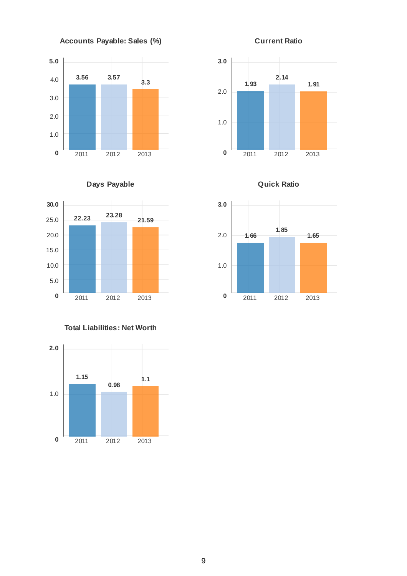





**3.0**

2.0







## **Total Liabilities: Net Worth**





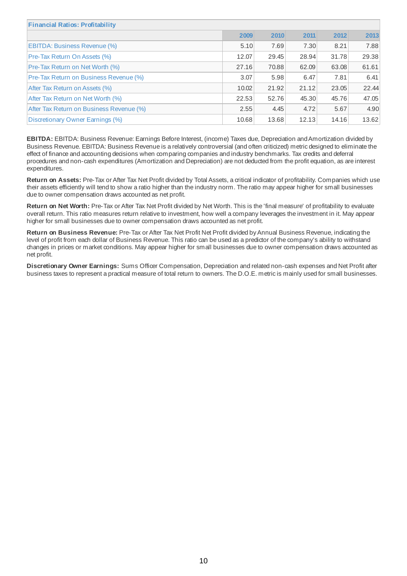| <b>Financial Ratios: Profitability</b>        |       |       |       |       |       |
|-----------------------------------------------|-------|-------|-------|-------|-------|
|                                               | 2009  | 2010  | 2011  | 2012  | 2013  |
| <b>EBITDA: Business Revenue (%)</b>           | 5.10  | 7.69  | 7.30  | 8.21  | 7.88  |
| <b>Pre-Tax Return On Assets (%)</b>           | 12.07 | 29.45 | 28.94 | 31.78 | 29.38 |
| <b>Pre-Tax Return on Net Worth (%)</b>        | 27.16 | 70.88 | 62.09 | 63.08 | 61.61 |
| <b>Pre-Tax Return on Business Revenue (%)</b> | 3.07  | 5.98  | 6.47  | 7.81  | 6.41  |
| After Tax Return on Assets (%)                | 10.02 | 21.92 | 21.12 | 23.05 | 22.44 |
| After Tax Return on Net Worth (%)             | 22.53 | 52.76 | 45.30 | 45.76 | 47.05 |
| After Tax Return on Business Revenue (%)      | 2.55  | 4.45  | 4.72  | 5.67  | 4.90  |
| Discretionary Owner Earnings (%)              | 10.68 | 13.68 | 12.13 | 14.16 | 13.62 |

**EBITDA:** EBITDA: Business Revenue: Earnings Before Interest, (income) Taxes due, Depreciation andAmortization divided by Business Revenue. EBITDA: Business Revenue is a relatively controversial (and often criticized) metric designed to eliminate the effect of finance and accounting decisions when comparing companies and industry benchmarks. Tax credits and deferral procedures and non-cash expenditures (Amortization and Depreciation) are not deducted from the profit equation, as are interest expenditures.

**Return on Assets:** Pre-Tax or After Tax Net Profit divided by Total Assets, a critical indicator of profitability. Companies which use their assets efficiently will tend to show a ratio higher than the industry norm. The ratio may appear higher for small businesses due to owner compensation draws accounted as net profit.

**Return on Net Worth:** Pre-Tax or After Tax Net Profit divided by Net Worth. This is the 'final measure' of profitability to evaluate overall return. This ratio measures return relative to investment, how well a company leverages the investment in it. May appear higher for small businesses due to owner compensation draws accounted as net profit.

**Return on Business Revenue:** Pre-Tax or After Tax Net Profit Net Profit divided by Annual Business Revenue, indicating the level of profit from each dollar of Business Revenue. This ratio can be used as a predictor of the company's ability to withstand changes in prices or market conditions. May appear higher for small businesses due to owner compensation draws accounted as net profit.

**Discretionary Owner Earnings:** Sums Officer Compensation, Depreciation and related non-cash expenses and Net Profit after business taxes to represent a practical measure of total return to owners. The D.O.E. metricis mainly used for small businesses.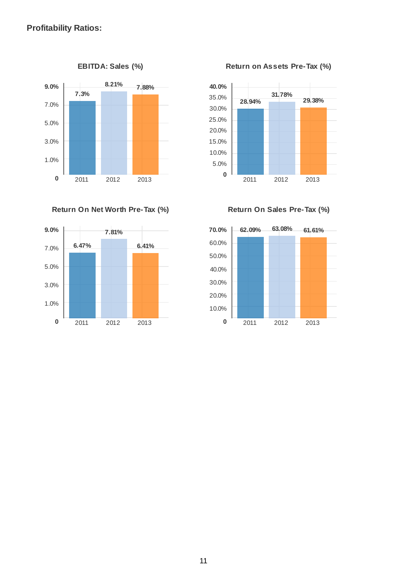

**Return On Net Worth Pre-Tax (%) Return On Sales Pre-Tax (%)**



**EBITDA: Sales (%) Return on Assets Pre-Tax (%)**



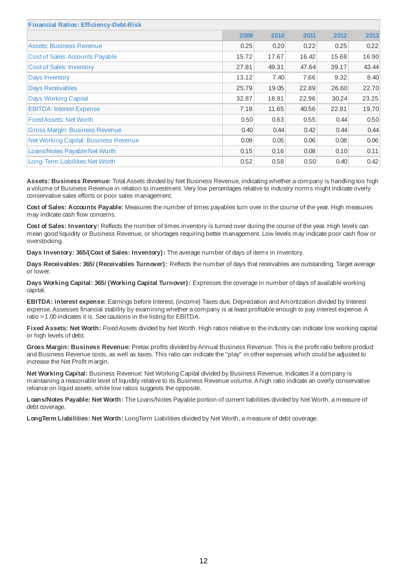| <b>Financial Ratios: Efficiency-Debt-Risk</b> |       |       |       |       |       |
|-----------------------------------------------|-------|-------|-------|-------|-------|
|                                               | 2009  | 2010  | 2011  | 2012  | 2013  |
| <b>Assets: Business Revenue</b>               | 0.25  | 0.20  | 0.22  | 0.25  | 0.22  |
| <b>Cost of Sales: Accounts Payable</b>        | 15.72 | 17.67 | 16.42 | 15.68 | 16.90 |
| <b>Cost of Sales: Inventory</b>               | 27.81 | 49.31 | 47.64 | 39.17 | 43.44 |
| Days Inventory                                | 13.12 | 7.40  | 7.66  | 9.32  | 8.40  |
| <b>Days Receivables</b>                       | 25.79 | 19.05 | 22.89 | 26.60 | 22.70 |
| <b>Days Working Capital</b>                   | 32.87 | 18.91 | 22.96 | 30.24 | 23.25 |
| <b>EBITDA: Interest Expense</b>               | 7.18  | 11.65 | 40.56 | 22.81 | 19.70 |
| <b>Fixed Assets: Net Worth</b>                | 0.50  | 0.63  | 0.55  | 0.44  | 0.50  |
| <b>Gross Margin: Business Revenue</b>         | 0.40  | 0.44  | 0.42  | 0.44  | 0.44  |
| Net Working Capital: Business Revenue         | 0.09  | 0.05  | 0.06  | 0.08  | 0.06  |
| Loans/Notes Payable:Net Worth                 | 0.15  | 0.16  | 0.08  | 0.10  | 0.11  |
| Long-Term Liabilities: Net Worth              | 0.52  | 0.58  | 0.50  | 0.40  | 0.42  |

**Assets: Business Revenue:** Total Assets divided by Net Business Revenue, indicating whether a company is handling too high a volume of Business Revenue in relation to investment. Very low percentages relative to industry norms might indicate overly conservative sales efforts or poor sales management.

**Cost of Sales: Accounts Payable:** Measures the number of times payables turn over in the course of the year. High measures may indicate cash flow concerns.

**Cost of Sales: Inventory:** Reflects the number of times inventory is turned over during the course of the year. High levels can mean good liquidity or Business Revenue, or shortages requiring better management. Low levels may indicate poor cash flow or overstocking.

**Days Inventory: 365/(Cost of Sales: Inventory):** The average number of days of items in inventory.

**Days Receivables: 365/ (Receivables Turnover):** Reflects the number of days that receivables are outstanding. Target average or lower.

**Days Working Capital: 365/ (Working Capital Turnover):** Expresses the coverage in number of days of available working capital.

**EBITDA: interest expense:** Earnings before Interest, (income) Taxes due, Depreciation andAmortization divided by Interest expense.Assesses financial stability by examining whether a company is at least profitable enough to pay interest expense.A ratio >1.00 indicates it is. See cautions in the listing for EBITDA.

**Fixed Assets: Net Worth:** FixedAssets divided by Net Worth. High ratios relative to the industry can indicate low working capital or high levels of debt.

**Gross Margin: Business Revenue:** Pretax profits divided by Annual Business Revenue. This is the profit ratio before product and Business Revenue costs, as well as taxes. This ratio can indicate the "play" in other expenses which could be adjusted to increase the Net Profit margin.

**Net Working Capital:** Business Revenue: Net Working Capital divided by Business Revenue. Indicates if a company is maintaining a reasonable level of liquidity relative to its Business Revenue volume.A high ratio indicate an overly conservative reliance on liquid assets, while low ratios suggests the opposite.

**Loans/Notes Payable: Net Worth:** The Loans/Notes Payable portion of current liabilities divided by Net Worth, a measure of debt coverage.

**LongTerm Liabilities: Net Worth:** LongTerm Liabilities divided by Net Worth, a measure of debt coverage.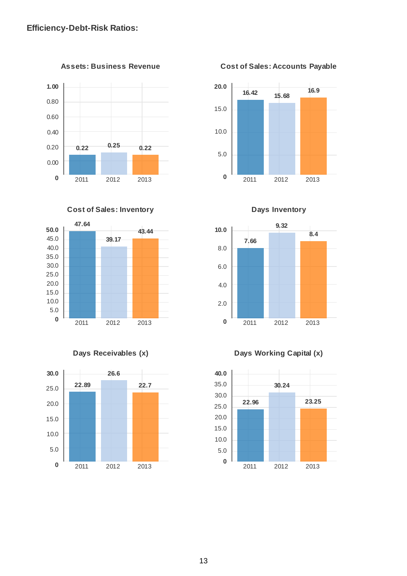**1.00** 0.80 0.60 0.40 0.20 0.00 **0 0.22 0.25 0.22** 2011 2012 2013







**Assets: Business Revenue Cost of Sales: Accounts Payable**





**Days Receivables (x) Days Working Capital (x)**

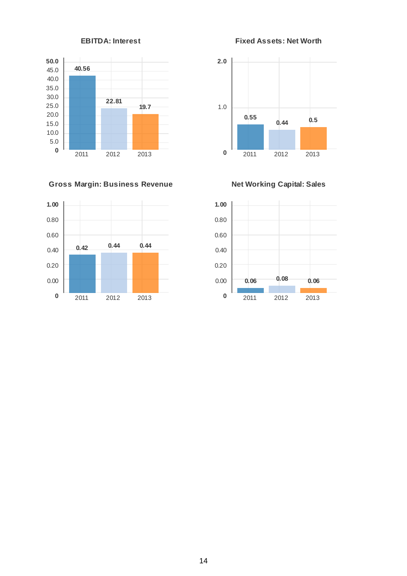

# **Gross Margin: Business Revenue Net Working Capital: Sales**



**EBITDA: Interest Fixed Assets: Net Worth**



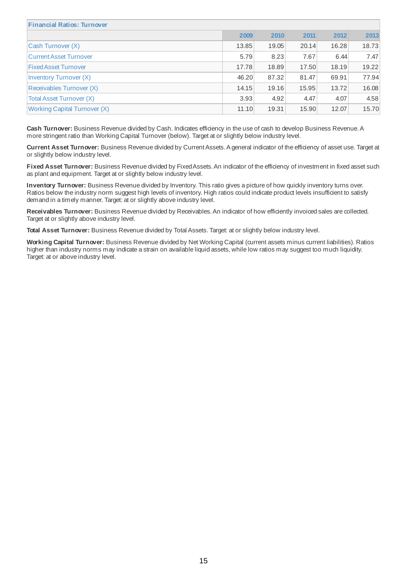| <b>Financial Ratios: Turnover</b>   |       |       |       |       |       |
|-------------------------------------|-------|-------|-------|-------|-------|
|                                     | 2009  | 2010  | 2011  | 2012  | 2013  |
| Cash Turnover (X)                   | 13.85 | 19.05 | 20.14 | 16.28 | 18.73 |
| <b>Current Asset Turnover</b>       | 5.79  | 8.23  | 7.67  | 6.44  | 7.47  |
| <b>Fixed Asset Turnover</b>         | 17.78 | 18.89 | 17.50 | 18.19 | 19.22 |
| Inventory Turnover (X)              | 46.20 | 87.32 | 81.47 | 69.91 | 77.94 |
| Receivables Turnover (X)            | 14.15 | 19.16 | 15.95 | 13.72 | 16.08 |
| Total Asset Turnover (X)            | 3.93  | 4.92  | 4.47  | 4.07  | 4.58  |
| <b>Working Capital Turnover (X)</b> | 11.10 | 19.31 | 15.90 | 12.07 | 15.70 |

**Cash Turnover:** Business Revenue divided by Cash. Indicates efficiency in the use of cash to develop Business Revenue.A more stringent ratio than Working Capital Turnover (below). Target at or slightly below industry level.

**Current Asset Turnover:** Business Revenue divided by CurrentAssets.A general indicator of the efficiency of asset use. Target at or slightly below industry level.

Fixed Asset Turnover: Business Revenue divided by Fixed Assets. An indicator of the efficiency of investment in fixed asset such as plant and equipment. Target at or slightly below industry level.

**Inventory Turnover:** Business Revenue divided by Inventory. This ratio gives a picture of how quickly inventory turns over. Ratios below the industry norm suggest high levels of inventory. High ratios could indicate product levels insufficient to satisfy demand in a timely manner. Target: at or slightly above industry level.

**Receivables Turnover:** Business Revenue divided by Receivables.An indicator of how efficiently invoiced sales are collected. Target at or slightly above industry level.

**Total Asset Turnover:** Business Revenue divided by Total Assets. Target: at or slightly below industry level.

**Working Capital Turnover:** Business Revenue divided by Net Working Capital (current assets minus current liabilities). Ratios higher than industry norms may indicate a strain on available liquid assets, while low ratios may suggest too much liquidity. Target: at or above industry level.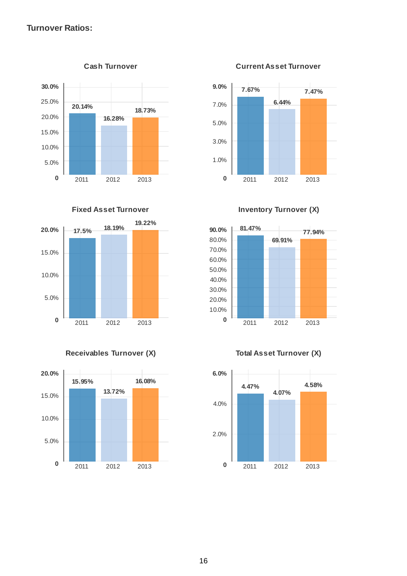# **Turnover Ratios:**









**Cash Turnover Current Asset Turnover**